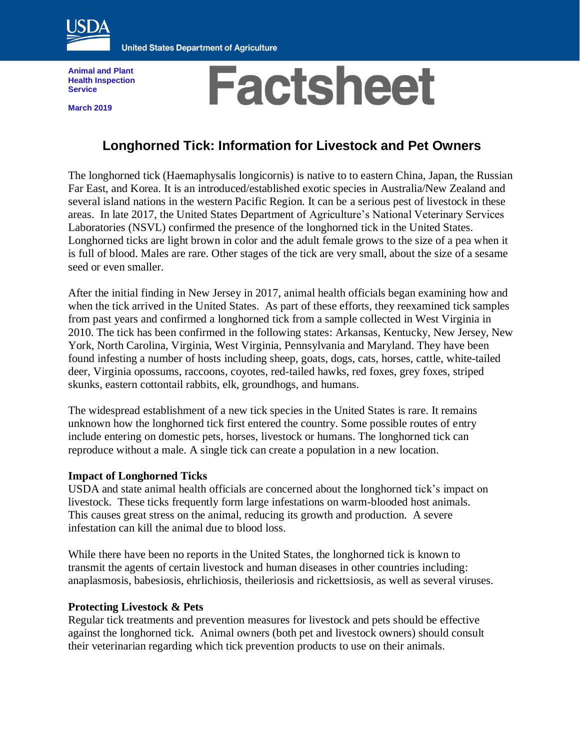

**United States Department of Agriculture** 

**Animal and Plant Health Inspection Service**

**March 2019**

# **Factsheet**

# **Longhorned Tick: Information for Livestock and Pet Owners**

The longhorned tick (Haemaphysalis longicornis) is native to to eastern China, Japan, the Russian Far East, and Korea. It is an introduced/established exotic species in Australia/New Zealand and several island nations in the western Pacific Region. It can be a serious pest of livestock in these areas. In late 2017, the United States Department of Agriculture's National Veterinary Services Laboratories (NSVL) confirmed the presence of the longhorned tick in the United States. Longhorned ticks are light brown in color and the adult female grows to the size of a pea when it is full of blood. Males are rare. Other stages of the tick are very small, about the size of a sesame seed or even smaller.

After the initial finding in New Jersey in 2017, animal health officials began examining how and when the tick arrived in the United States. As part of these efforts, they reexamined tick samples from past years and confirmed a longhorned tick from a sample collected in West Virginia in 2010. The tick has been confirmed in the following states: Arkansas, Kentucky, New Jersey, New York, North Carolina, Virginia, West Virginia, Pennsylvania and Maryland. They have been found infesting a number of hosts including sheep, goats, dogs, cats, horses, cattle, white-tailed deer, Virginia opossums, raccoons, coyotes, red-tailed hawks, red foxes, grey foxes, striped skunks, eastern cottontail rabbits, elk, groundhogs, and humans.

The widespread establishment of a new tick species in the United States is rare. It remains unknown how the longhorned tick first entered the country. Some possible routes of entry include entering on domestic pets, horses, livestock or humans. The longhorned tick can reproduce without a male. A single tick can create a population in a new location.

#### **Impact of Longhorned Ticks**

USDA and state animal health officials are concerned about the longhorned tick's impact on livestock. These ticks frequently form large infestations on warm-blooded host animals. This causes great stress on the animal, reducing its growth and production. A severe infestation can kill the animal due to blood loss.

While there have been no reports in the United States, the longhorned tick is known to transmit the agents of certain livestock and human diseases in other countries including: anaplasmosis, babesiosis, ehrlichiosis, theileriosis and rickettsiosis, as well as several viruses.

#### **Protecting Livestock & Pets**

Regular tick treatments and prevention measures for livestock and pets should be effective against the longhorned tick. Animal owners (both pet and livestock owners) should consult their veterinarian regarding which tick prevention products to use on their animals.